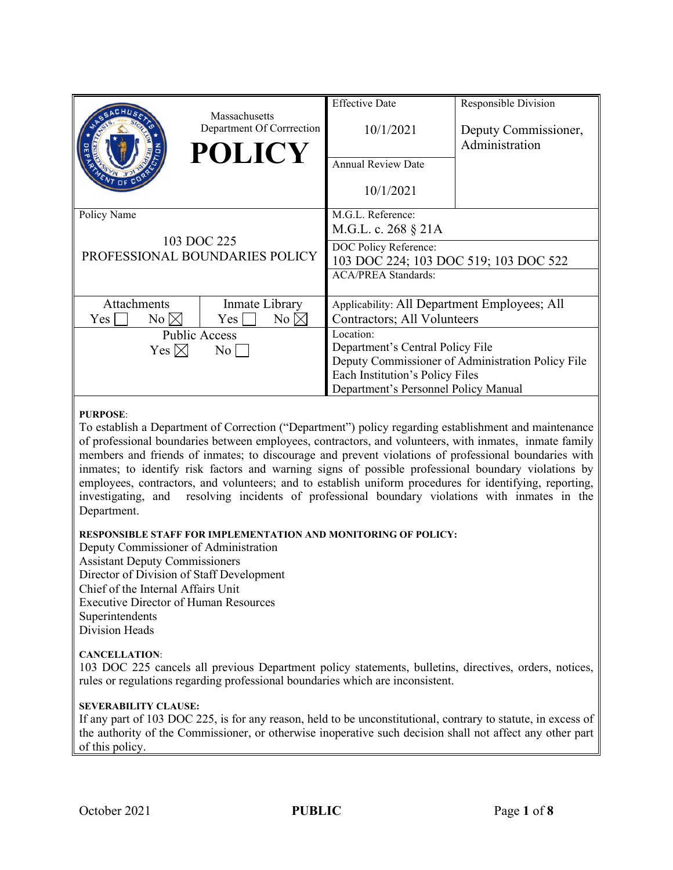|                                                              | Massachusetts             | <b>Effective Date</b>                             | Responsible Division |
|--------------------------------------------------------------|---------------------------|---------------------------------------------------|----------------------|
|                                                              | Department Of Corrrection | 10/1/2021                                         | Deputy Commissioner, |
|                                                              | <b>POLICY</b>             |                                                   | Administration       |
|                                                              |                           | <b>Annual Review Date</b>                         |                      |
|                                                              |                           | 10/1/2021                                         |                      |
| Policy Name<br>103 DOC 225<br>PROFESSIONAL BOUNDARIES POLICY |                           | M.G.L. Reference:                                 |                      |
|                                                              |                           | M.G.L. c. 268 § 21A                               |                      |
|                                                              |                           | DOC Policy Reference:                             |                      |
|                                                              |                           | 103 DOC 224; 103 DOC 519; 103 DOC 522             |                      |
|                                                              |                           | <b>ACA/PREA Standards:</b>                        |                      |
| <b>Attachments</b>                                           | Inmate Library            | Applicability: All Department Employees; All      |                      |
| $No \boxtimes$<br>Yes                                        | $No \times$<br>Yes        | Contractors; All Volunteers                       |                      |
| <b>Public Access</b>                                         |                           | Location:                                         |                      |
| Yes $\boxtimes$<br>$\overline{N_{0}}$                        |                           | Department's Central Policy File                  |                      |
|                                                              |                           | Deputy Commissioner of Administration Policy File |                      |
|                                                              |                           | Each Institution's Policy Files                   |                      |
|                                                              |                           | Department's Personnel Policy Manual              |                      |

#### **PURPOSE**:

To establish a Department of Correction ("Department") policy regarding establishment and maintenance of professional boundaries between employees, contractors, and volunteers, with inmates, inmate family members and friends of inmates; to discourage and prevent violations of professional boundaries with inmates; to identify risk factors and warning signs of possible professional boundary violations by employees, contractors, and volunteers; and to establish uniform procedures for identifying, reporting, investigating, and resolving incidents of professional boundary violations with inmates in the Department.

#### **RESPONSIBLE STAFF FOR IMPLEMENTATION AND MONITORING OF POLICY:**

Deputy Commissioner of Administration Assistant Deputy Commissioners Director of Division of Staff Development Chief of the Internal Affairs Unit Executive Director of Human Resources Superintendents Division Heads

### **CANCELLATION**:

103 DOC 225 cancels all previous Department policy statements, bulletins, directives, orders, notices, rules or regulations regarding professional boundaries which are inconsistent.

### **SEVERABILITY CLAUSE:**

If any part of 103 DOC 225, is for any reason, held to be unconstitutional, contrary to statute, in excess of the authority of the Commissioner, or otherwise inoperative such decision shall not affect any other part of this policy.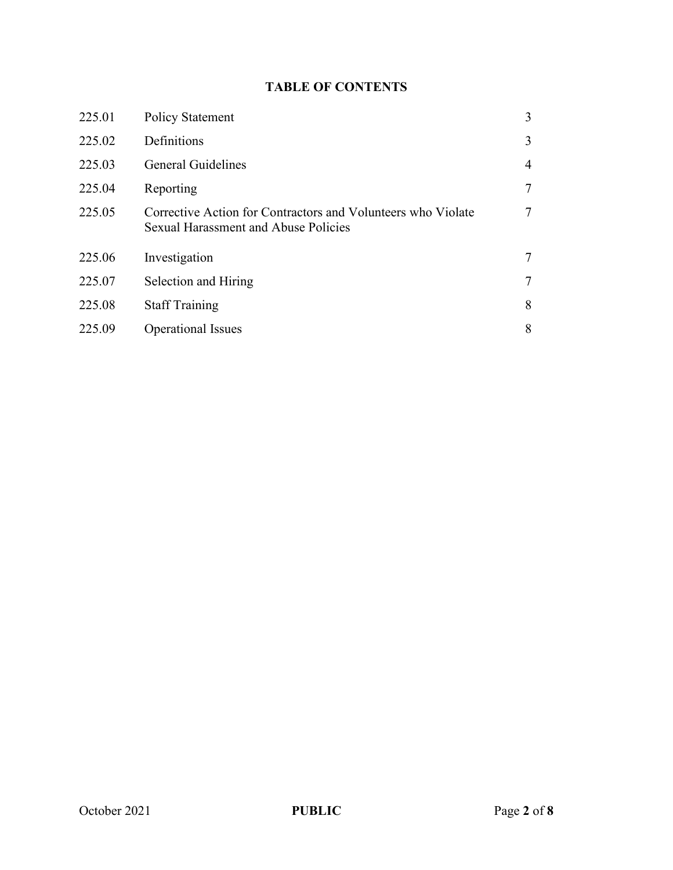# **TABLE OF CONTENTS**

| 225.01 | <b>Policy Statement</b>                                                                                     | 3               |
|--------|-------------------------------------------------------------------------------------------------------------|-----------------|
| 225.02 | Definitions                                                                                                 | 3               |
| 225.03 | <b>General Guidelines</b>                                                                                   | $\overline{4}$  |
| 225.04 | Reporting                                                                                                   | $7\phantom{.0}$ |
| 225.05 | Corrective Action for Contractors and Volunteers who Violate<br><b>Sexual Harassment and Abuse Policies</b> | $\overline{7}$  |
| 225.06 | Investigation                                                                                               | 7               |
| 225.07 | Selection and Hiring                                                                                        | 7               |
| 225.08 | <b>Staff Training</b>                                                                                       | 8               |
| 225.09 | <b>Operational Issues</b>                                                                                   | 8               |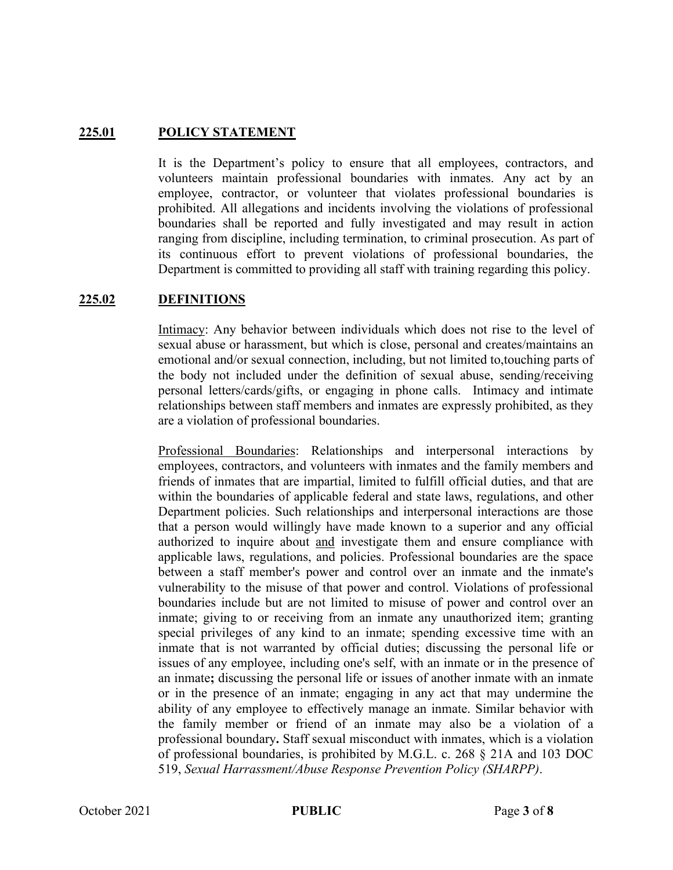## **225.01 POLICY STATEMENT**

It is the Department's policy to ensure that all employees, contractors, and volunteers maintain professional boundaries with inmates. Any act by an employee, contractor, or volunteer that violates professional boundaries is prohibited. All allegations and incidents involving the violations of professional boundaries shall be reported and fully investigated and may result in action ranging from discipline, including termination, to criminal prosecution. As part of its continuous effort to prevent violations of professional boundaries, the Department is committed to providing all staff with training regarding this policy.

## **225.02 DEFINITIONS**

Intimacy: Any behavior between individuals which does not rise to the level of sexual abuse or harassment, but which is close, personal and creates/maintains an emotional and/or sexual connection, including, but not limited to,touching parts of the body not included under the definition of sexual abuse, sending/receiving personal letters/cards/gifts, or engaging in phone calls. Intimacy and intimate relationships between staff members and inmates are expressly prohibited, as they are a violation of professional boundaries.

Professional Boundaries: Relationships and interpersonal interactions by employees, contractors, and volunteers with inmates and the family members and friends of inmates that are impartial, limited to fulfill official duties, and that are within the boundaries of applicable federal and state laws, regulations, and other Department policies. Such relationships and interpersonal interactions are those that a person would willingly have made known to a superior and any official authorized to inquire about and investigate them and ensure compliance with applicable laws, regulations, and policies. Professional boundaries are the space between a staff member's power and control over an inmate and the inmate's vulnerability to the misuse of that power and control. Violations of professional boundaries include but are not limited to misuse of power and control over an inmate; giving to or receiving from an inmate any unauthorized item; granting special privileges of any kind to an inmate; spending excessive time with an inmate that is not warranted by official duties; discussing the personal life or issues of any employee, including one's self, with an inmate or in the presence of an inmate**;** discussing the personal life or issues of another inmate with an inmate or in the presence of an inmate; engaging in any act that may undermine the ability of any employee to effectively manage an inmate. Similar behavior with the family member or friend of an inmate may also be a violation of a professional boundary**.** Staff sexual misconduct with inmates, which is a violation of professional boundaries, is prohibited by M.G.L. c. 268 § 21A and 103 DOC 519, *Sexual Harrassment/Abuse Response Prevention Policy (SHARPP)*.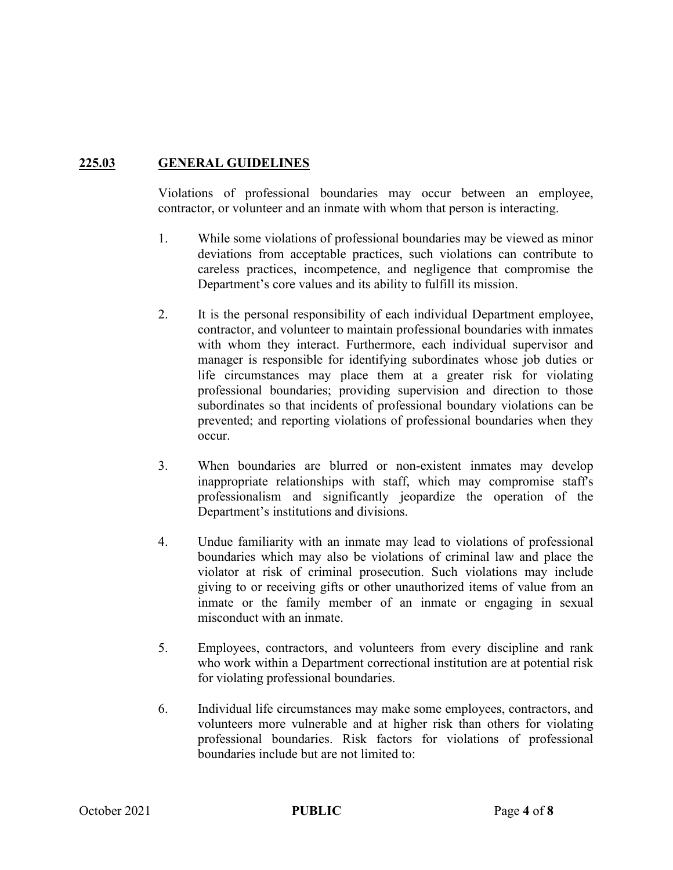# **225.03 GENERAL GUIDELINES**

Violations of professional boundaries may occur between an employee, contractor, or volunteer and an inmate with whom that person is interacting.

- 1. While some violations of professional boundaries may be viewed as minor deviations from acceptable practices, such violations can contribute to careless practices, incompetence, and negligence that compromise the Department's core values and its ability to fulfill its mission.
- 2. It is the personal responsibility of each individual Department employee, contractor, and volunteer to maintain professional boundaries with inmates with whom they interact. Furthermore, each individual supervisor and manager is responsible for identifying subordinates whose job duties or life circumstances may place them at a greater risk for violating professional boundaries; providing supervision and direction to those subordinates so that incidents of professional boundary violations can be prevented; and reporting violations of professional boundaries when they occur.
- 3. When boundaries are blurred or non-existent inmates may develop inappropriate relationships with staff, which may compromise staff's professionalism and significantly jeopardize the operation of the Department's institutions and divisions.
- 4. Undue familiarity with an inmate may lead to violations of professional boundaries which may also be violations of criminal law and place the violator at risk of criminal prosecution. Such violations may include giving to or receiving gifts or other unauthorized items of value from an inmate or the family member of an inmate or engaging in sexual misconduct with an inmate.
- 5. Employees, contractors, and volunteers from every discipline and rank who work within a Department correctional institution are at potential risk for violating professional boundaries.
- 6. Individual life circumstances may make some employees, contractors, and volunteers more vulnerable and at higher risk than others for violating professional boundaries. Risk factors for violations of professional boundaries include but are not limited to: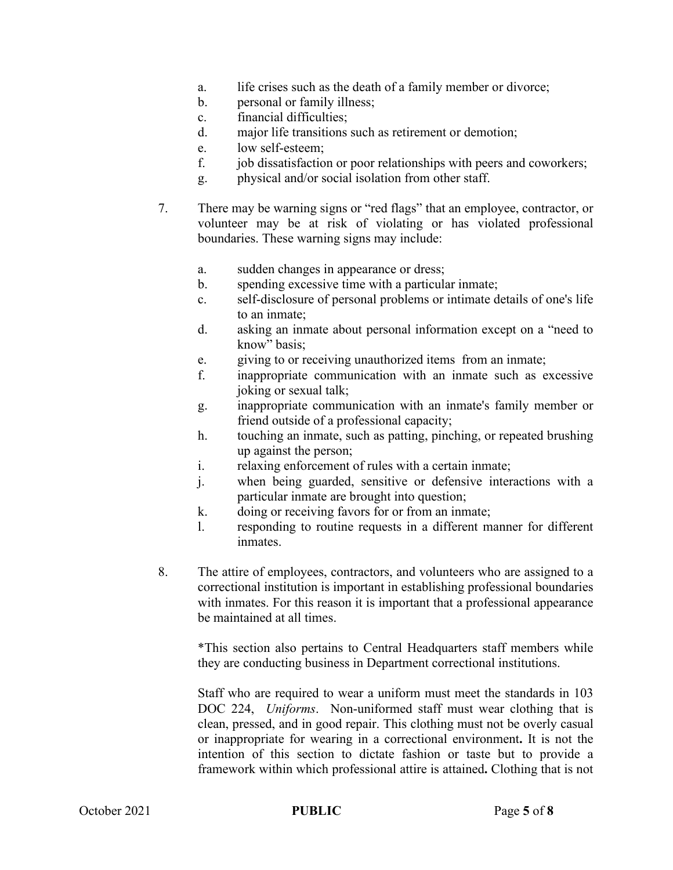- a. life crises such as the death of a family member or divorce;
- b. personal or family illness;
- c. financial difficulties;
- d. major life transitions such as retirement or demotion;
- e. low self-esteem;
- f. job dissatisfaction or poor relationships with peers and coworkers;
- g. physical and/or social isolation from other staff.
- 7. There may be warning signs or "red flags" that an employee, contractor, or volunteer may be at risk of violating or has violated professional boundaries. These warning signs may include:
	- a. sudden changes in appearance or dress;
	- b. spending excessive time with a particular inmate;
	- c. self-disclosure of personal problems or intimate details of one's life to an inmate;
	- d. asking an inmate about personal information except on a "need to know" basis;
	- e. giving to or receiving unauthorized items from an inmate;
	- f. inappropriate communication with an inmate such as excessive joking or sexual talk;
	- g. inappropriate communication with an inmate's family member or friend outside of a professional capacity;
	- h. touching an inmate, such as patting, pinching, or repeated brushing up against the person;
	- i. relaxing enforcement of rules with a certain inmate;
	- j. when being guarded, sensitive or defensive interactions with a particular inmate are brought into question;
	- k. doing or receiving favors for or from an inmate;
	- l. responding to routine requests in a different manner for different inmates.
- 8. The attire of employees, contractors, and volunteers who are assigned to a correctional institution is important in establishing professional boundaries with inmates. For this reason it is important that a professional appearance be maintained at all times.

\*This section also pertains to Central Headquarters staff members while they are conducting business in Department correctional institutions.

Staff who are required to wear a uniform must meet the standards in 103 DOC 224, *Uniforms*. Non-uniformed staff must wear clothing that is clean, pressed, and in good repair. This clothing must not be overly casual or inappropriate for wearing in a correctional environment**.** It is not the intention of this section to dictate fashion or taste but to provide a framework within which professional attire is attained**.** Clothing that is not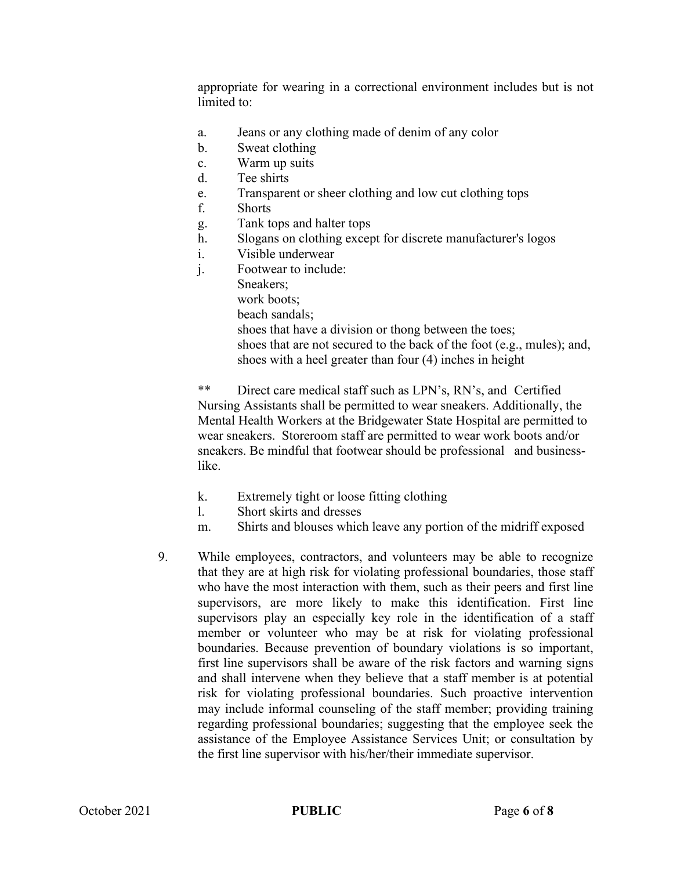appropriate for wearing in a correctional environment includes but is not limited to:

- a. Jeans or any clothing made of denim of any color
- b. Sweat clothing
- c. Warm up suits
- d. Tee shirts
- e. Transparent or sheer clothing and low cut clothing tops
- f. Shorts
- g. Tank tops and halter tops
- h. Slogans on clothing except for discrete manufacturer's logos
- i. Visible underwear
- j. Footwear to include:
	- Sneakers;
		- work boots;
		- beach sandals;
		- shoes that have a division or thong between the toes;
		- shoes that are not secured to the back of the foot (e.g., mules); and, shoes with a heel greater than four (4) inches in height

\*\* Direct care medical staff such as LPN's, RN's, and Certified Nursing Assistants shall be permitted to wear sneakers. Additionally, the Mental Health Workers at the Bridgewater State Hospital are permitted to wear sneakers. Storeroom staff are permitted to wear work boots and/or sneakers. Be mindful that footwear should be professional and businesslike.

- k. Extremely tight or loose fitting clothing
- l. Short skirts and dresses
- m. Shirts and blouses which leave any portion of the midriff exposed
- 9. While employees, contractors, and volunteers may be able to recognize that they are at high risk for violating professional boundaries, those staff who have the most interaction with them, such as their peers and first line supervisors, are more likely to make this identification. First line supervisors play an especially key role in the identification of a staff member or volunteer who may be at risk for violating professional boundaries. Because prevention of boundary violations is so important, first line supervisors shall be aware of the risk factors and warning signs and shall intervene when they believe that a staff member is at potential risk for violating professional boundaries. Such proactive intervention may include informal counseling of the staff member; providing training regarding professional boundaries; suggesting that the employee seek the assistance of the Employee Assistance Services Unit; or consultation by the first line supervisor with his/her/their immediate supervisor.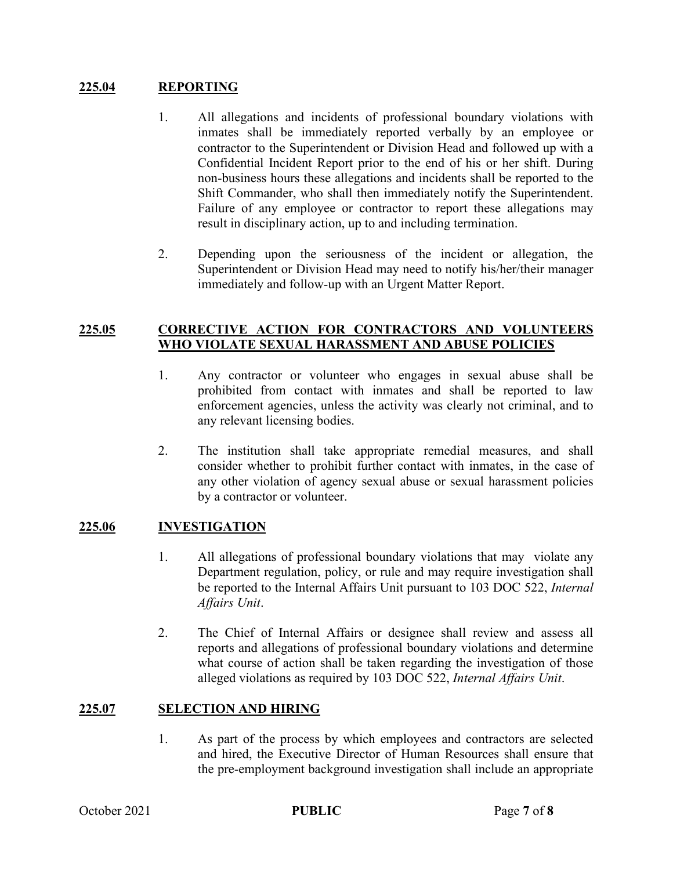## **225.04 REPORTING**

- 1. All allegations and incidents of professional boundary violations with inmates shall be immediately reported verbally by an employee or contractor to the Superintendent or Division Head and followed up with a Confidential Incident Report prior to the end of his or her shift. During non-business hours these allegations and incidents shall be reported to the Shift Commander, who shall then immediately notify the Superintendent. Failure of any employee or contractor to report these allegations may result in disciplinary action, up to and including termination.
- 2. Depending upon the seriousness of the incident or allegation, the Superintendent or Division Head may need to notify his/her/their manager immediately and follow-up with an Urgent Matter Report.

## **225.05 CORRECTIVE ACTION FOR CONTRACTORS AND VOLUNTEERS WHO VIOLATE SEXUAL HARASSMENT AND ABUSE POLICIES**

- 1. Any contractor or volunteer who engages in sexual abuse shall be prohibited from contact with inmates and shall be reported to law enforcement agencies, unless the activity was clearly not criminal, and to any relevant licensing bodies.
- 2. The institution shall take appropriate remedial measures, and shall consider whether to prohibit further contact with inmates, in the case of any other violation of agency sexual abuse or sexual harassment policies by a contractor or volunteer.

## **225.06 INVESTIGATION**

- 1. All allegations of professional boundary violations that may violate any Department regulation, policy, or rule and may require investigation shall be reported to the Internal Affairs Unit pursuant to 103 DOC 522, *Internal Affairs Unit*.
- 2. The Chief of Internal Affairs or designee shall review and assess all reports and allegations of professional boundary violations and determine what course of action shall be taken regarding the investigation of those alleged violations as required by 103 DOC 522, *Internal Affairs Unit*.

## **225.07 SELECTION AND HIRING**

1. As part of the process by which employees and contractors are selected and hired, the Executive Director of Human Resources shall ensure that the pre-employment background investigation shall include an appropriate